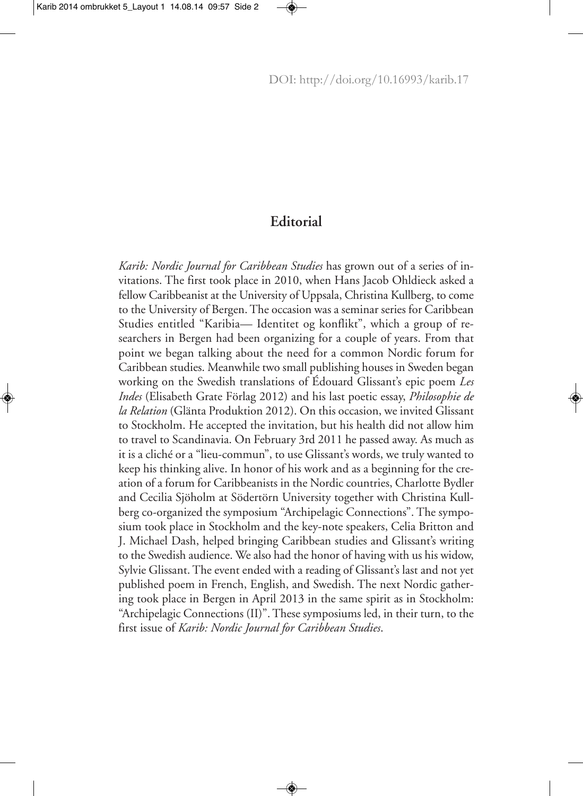## **Editorial**

*Karib: Nordic Journal for Caribbean Studies* has grown out of a series of invitations. The first took place in 2010, when Hans Jacob Ohldieck asked a fellow Caribbeanist at the University of Uppsala, Christina Kullberg, to come to the University of Bergen. The occasion was a seminar series for Caribbean Studies entitled "Karibia— Identitet og konflikt", which a group of researchers in Bergen had been organizing for a couple of years. From that point we began talking about the need for a common Nordic forum for Caribbean studies. Meanwhile two small publishing houses in Sweden began working on the Swedish translations of Édouard Glissant's epic poem *Les Indes* (Elisabeth Grate Förlag 2012) and his last poetic essay, *Philosophie de la Relation* (Glänta Produktion 2012). On this occasion, we invited Glissant to Stockholm. He accepted the invitation, but his health did not allow him to travel to Scandinavia. On February 3rd 2011 he passed away. As much as it is a cliché or a "lieu-commun", to use Glissant's words, we truly wanted to keep his thinking alive. In honor of his work and as a beginning for the creation of a forum for Caribbeanists in the Nordic countries, Charlotte Bydler and Cecilia Sjöholm at Södertörn University together with Christina Kullberg co-organized the symposium "Archipelagic Connections". The symposium took place in Stockholm and the key-note speakers, Celia Britton and J. Michael Dash, helped bringing Caribbean studies and Glissant's writing to the Swedish audience. We also had the honor of having with us his widow, Sylvie Glissant. The event ended with a reading of Glissant's last and not yet published poem in French, English, and Swedish. The next Nordic gathering took place in Bergen in April 2013 in the same spirit as in Stockholm: "Archipelagic Connections (II)". These symposiums led, in their turn, to the first issue of *Karib: Nordic Journal for Caribbean Studies*.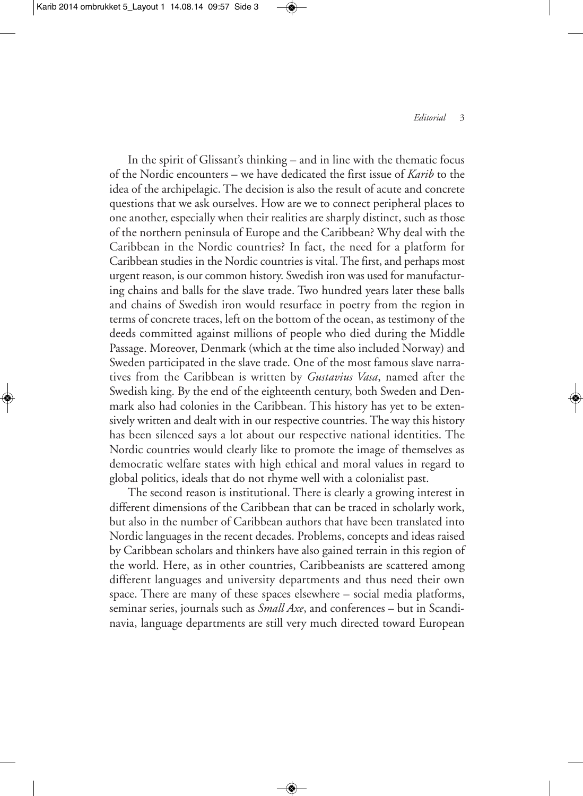In the spirit of Glissant's thinking – and in line with the thematic focus of the Nordic encounters – we have dedicated the first issue of *Karib* to the idea of the archipelagic. The decision is also the result of acute and concrete questions that we ask ourselves. How are we to connect peripheral places to one another, especially when their realities are sharply distinct, such as those of the northern peninsula of Europe and the Caribbean? Why deal with the Caribbean in the Nordic countries? In fact, the need for a platform for Caribbean studies in the Nordic countries is vital. The first, and perhaps most urgent reason, is our common history. Swedish iron was used for manufacturing chains and balls for the slave trade. Two hundred years later these balls and chains of Swedish iron would resurface in poetry from the region in terms of concrete traces, left on the bottom of the ocean, as testimony of the deeds committed against millions of people who died during the Middle Passage. Moreover, Denmark (which at the time also included Norway) and Sweden participated in the slave trade. One of the most famous slave narratives from the Caribbean is written by *Gustavius Vasa*, named after the Swedish king. By the end of the eighteenth century, both Sweden and Denmark also had colonies in the Caribbean. This history has yet to be extensively written and dealt with in our respective countries.The way this history has been silenced says a lot about our respective national identities. The Nordic countries would clearly like to promote the image of themselves as democratic welfare states with high ethical and moral values in regard to global politics, ideals that do not rhyme well with a colonialist past.

The second reason is institutional. There is clearly a growing interest in different dimensions of the Caribbean that can be traced in scholarly work, but also in the number of Caribbean authors that have been translated into Nordic languages in the recent decades. Problems, concepts and ideas raised by Caribbean scholars and thinkers have also gained terrain in this region of the world. Here, as in other countries, Caribbeanists are scattered among different languages and university departments and thus need their own space. There are many of these spaces elsewhere – social media platforms, seminar series, journals such as *Small Axe*, and conferences – but in Scandinavia, language departments are still very much directed toward European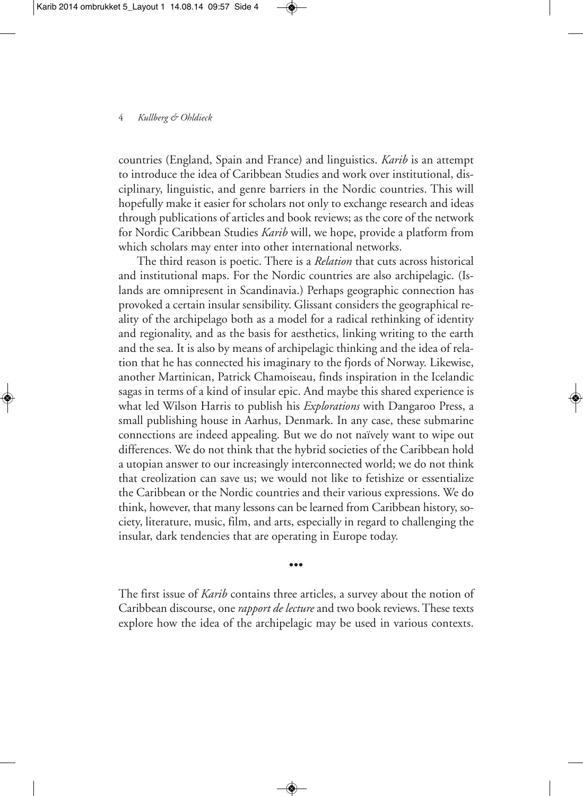## 4 *Kullberg & Ohldieck*

countries (England, Spain and France) and linguistics. *Karib* is an attempt to introduce the idea of Caribbean Studies and work over institutional, disciplinary, linguistic, and genre barriers in the Nordic countries. This will hopefully make it easier for scholars not only to exchange research and ideas through publications of articles and book reviews; as the core of the network for Nordic Caribbean Studies *Karib* will, we hope, provide a platform from which scholars may enter into other international networks.

The third reason is poetic. There is a *Relation* that cuts across historical and institutional maps. For the Nordic countries are also archipelagic. (Islands are omnipresent in Scandinavia.) Perhaps geographic connection has provoked a certain insular sensibility. Glissant considers the geographical reality of the archipelago both as a model for a radical rethinking of identity and regionality, and as the basis for aesthetics, linking writing to the earth and the sea. It is also by means of archipelagic thinking and the idea of relation that he has connected his imaginary to the fjords of Norway. Likewise, another Martinican, Patrick Chamoiseau, finds inspiration in the Icelandic sagas in terms of a kind of insular epic. And maybe this shared experience is what led Wilson Harris to publish his *Explorations* with Dangaroo Press, a small publishing house in Aarhus, Denmark. In any case, these submarine connections are indeed appealing. But we do not naïvely want to wipe out differences. We do not think that the hybrid societies of the Caribbean hold a utopian answer to our increasingly interconnected world; we do not think that creolization can save us; we would not like to fetishize or essentialize the Caribbean or the Nordic countries and their various expressions. We do think, however, that many lessons can be learned from Caribbean history, society, literature, music, film, and arts, especially in regard to challenging the insular, dark tendencies that are operating in Europe today.

•••

The first issue of *Karib* contains three articles, a survey about the notion of Caribbean discourse, one *rapport de lecture* and two book reviews.These texts explore how the idea of the archipelagic may be used in various contexts.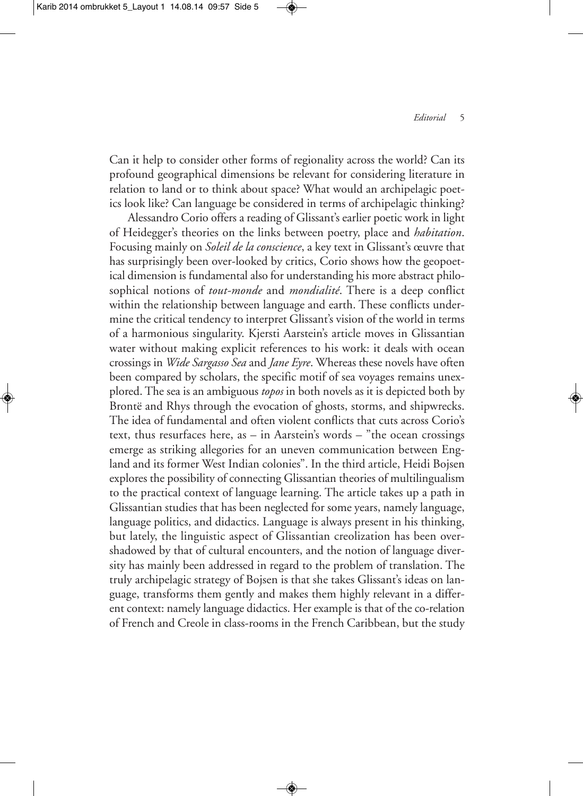Can it help to consider other forms of regionality across the world? Can its profound geographical dimensions be relevant for considering literature in relation to land or to think about space? What would an archipelagic poetics look like? Can language be considered in terms of archipelagic thinking?

Alessandro Corio offers a reading of Glissant's earlier poetic work in light of Heidegger's theories on the links between poetry, place and *habitation*. Focusing mainly on *Soleil de la conscience*, a key text in Glissant's œuvre that has surprisingly been over-looked by critics, Corio shows how the geopoetical dimension is fundamental also for understanding his more abstract philosophical notions of *tout-monde* and *mondialité*. There is a deep conflict within the relationship between language and earth. These conflicts undermine the critical tendency to interpret Glissant's vision of the world in terms of a harmonious singularity. Kjersti Aarstein's article moves in Glissantian water without making explicit references to his work: it deals with ocean crossings in *Wide Sargasso Sea* and *Jane Eyre*. Whereas these novels have often been compared by scholars, the specific motif of sea voyages remains unexplored. The sea is an ambiguous *topos* in both novels as it is depicted both by Brontë and Rhys through the evocation of ghosts, storms, and shipwrecks. The idea of fundamental and often violent conflicts that cuts across Corio's text, thus resurfaces here, as – in Aarstein's words – "the ocean crossings emerge as striking allegories for an uneven communication between England and its former West Indian colonies". In the third article, Heidi Bojsen explores the possibility of connecting Glissantian theories of multilingualism to the practical context of language learning. The article takes up a path in Glissantian studies that has been neglected for some years, namely language, language politics, and didactics. Language is always present in his thinking, but lately, the linguistic aspect of Glissantian creolization has been overshadowed by that of cultural encounters, and the notion of language diversity has mainly been addressed in regard to the problem of translation. The truly archipelagic strategy of Bojsen is that she takes Glissant's ideas on language, transforms them gently and makes them highly relevant in a different context: namely language didactics. Her example is that of the co-relation of French and Creole in class-rooms in the French Caribbean, but the study